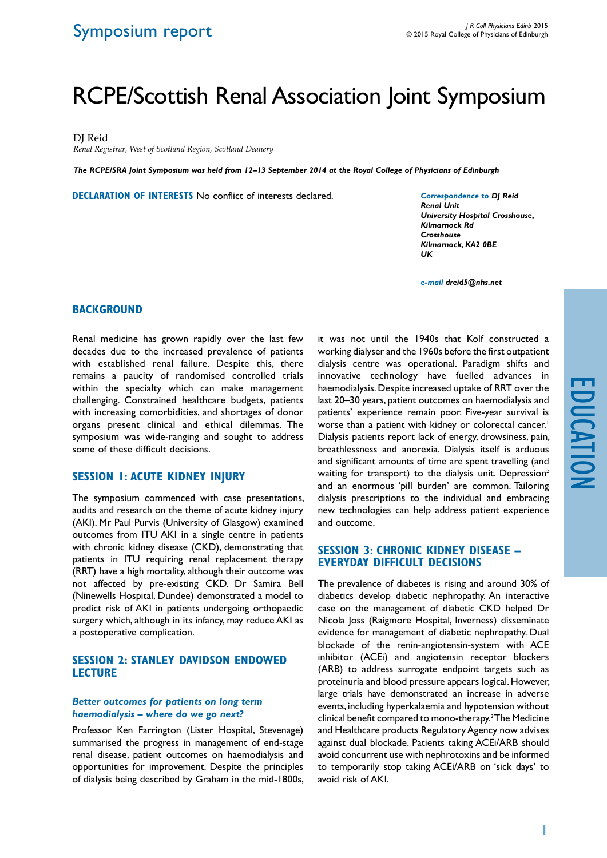# RCPE/Scottish Renal Association Joint Symposium

DJ Reid

*Renal Registrar, West of Scotland Region, Scotland Deanery*

*The RCPE/SRA Joint Symposium was held from 12–13 September 2014 at the Royal College of Physicians of Edinburgh*

**Declaration of Interests** No conflict of interests declared.

*Correspondence to DJ Reid Renal Unit University Hospital Crosshouse, Kilmarnock Rd Crosshouse Kilmarnock, KA2 0BE UK*

*e-mail dreid5@nhs.net*

# **Background**

Renal medicine has grown rapidly over the last few decades due to the increased prevalence of patients with established renal failure. Despite this, there remains a paucity of randomised controlled trials within the specialty which can make management challenging. Constrained healthcare budgets, patients with increasing comorbidities, and shortages of donor organs present clinical and ethical dilemmas. The symposium was wide-ranging and sought to address some of these difficult decisions.

# **Session 1: Acute Kidney Injury**

The symposium commenced with case presentations, audits and research on the theme of acute kidney injury (AKI). Mr Paul Purvis (University of Glasgow) examined outcomes from ITU AKI in a single centre in patients with chronic kidney disease (CKD), demonstrating that patients in ITU requiring renal replacement therapy (RRT) have a high mortality, although their outcome was not affected by pre-existing CKD. Dr Samira Bell (Ninewells Hospital, Dundee) demonstrated a model to predict risk of AKI in patients undergoing orthopaedic surgery which, although in its infancy, may reduce AKI as a postoperative complication.

# **SESSION 2: STANLEY DAVIDSON ENDOWED Lecture**

#### *Better outcomes for patients on long term haemodialysis – where do we go next?*

Professor Ken Farrington (Lister Hospital, Stevenage) summarised the progress in management of end-stage renal disease, patient outcomes on haemodialysis and opportunities for improvement. Despite the principles of dialysis being described by Graham in the mid-1800s, it was not until the 1940s that Kolf constructed a working dialyser and the 1960s before the first outpatient dialysis centre was operational. Paradigm shifts and innovative technology have fuelled advances in haemodialysis. Despite increased uptake of RRT over the last 20–30 years, patient outcomes on haemodialysis and patients' experience remain poor. Five-year survival is worse than a patient with kidney or colorectal cancer.<sup>1</sup> Dialysis patients report lack of energy, drowsiness, pain, breathlessness and anorexia. Dialysis itself is arduous and significant amounts of time are spent travelling (and waiting for transport) to the dialysis unit. Depression<sup>2</sup> and an enormous 'pill burden' are common. Tailoring dialysis prescriptions to the individual and embracing new technologies can help address patient experience and outcome.

### **Session 3: Chronic Kidney Disease – everyday difficult decisions**

The prevalence of diabetes is rising and around 30% of diabetics develop diabetic nephropathy. An interactive case on the management of diabetic CKD helped Dr Nicola Joss (Raigmore Hospital, Inverness) disseminate evidence for management of diabetic nephropathy. Dual blockade of the renin-angiotensin-system with ACE inhibitor (ACEi) and angiotensin receptor blockers (ARB) to address surrogate endpoint targets such as proteinuria and blood pressure appears logical. However, large trials have demonstrated an increase in adverse events, including hyperkalaemia and hypotension without clinical benefit compared to mono-therapy.3 The Medicine and Healthcare products Regulatory Agency now advises against dual blockade. Patients taking ACEi/ARB should avoid concurrent use with nephrotoxins and be informed to temporarily stop taking ACEi/ARB on 'sick days' to avoid risk of AKI.